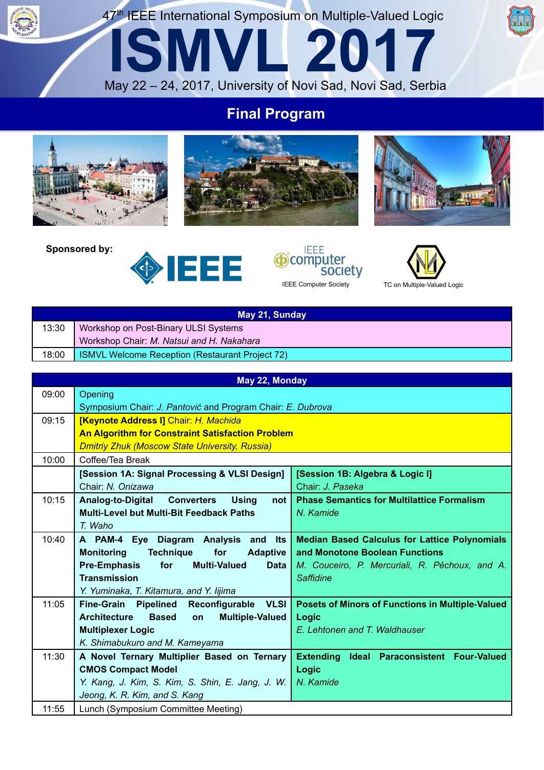47<sup>th</sup> IEEE International Symposium on Multiple-Valued Logic

**ISMVL 2017**

## **Final Program**

May 22 – 24, 2017, University of Novi Sad, Novi Sad, Serbia







**Sponsored by:**







|       | May 21, Sunday                                  |
|-------|-------------------------------------------------|
| 13:30 | Workshop on Post-Binary ULSI Systems            |
|       | Workshop Chair: M. Natsui and H. Nakahara       |
| 18:00 | ISMVL Welcome Reception (Restaurant Project 72) |

|       | May 22, Monday                                                      |                                                      |
|-------|---------------------------------------------------------------------|------------------------------------------------------|
| 09:00 | Opening                                                             |                                                      |
|       | Symposium Chair: J. Pantović and Program Chair: E. Dubrova          |                                                      |
| 09:15 | <b>[Keynote Address I] Chair: H. Machida</b>                        |                                                      |
|       | <b>An Algorithm for Constraint Satisfaction Problem</b>             |                                                      |
|       | <b>Dmitriy Zhuk (Moscow State University, Russia)</b>               |                                                      |
| 10:00 | Coffee/Tea Break                                                    |                                                      |
|       | [Session 1A: Signal Processing & VLSI Design]                       | [Session 1B: Algebra & Logic I]                      |
|       | Chair: N. Onizawa                                                   | Chair: J. Paseka                                     |
| 10:15 | Analog-to-Digital Converters<br><b>Using</b><br>not                 | <b>Phase Semantics for Multilattice Formalism</b>    |
|       | Multi-Level but Multi-Bit Feedback Paths                            | N. Kamide                                            |
|       | T. Waho                                                             |                                                      |
| 10:40 | A PAM-4 Eye Diagram Analysis and Its                                | <b>Median Based Calculus for Lattice Polynomials</b> |
|       | <b>Technique</b><br>for<br><b>Monitoring</b><br><b>Adaptive</b>     | and Monotone Boolean Functions                       |
|       | <b>Pre-Emphasis</b><br><b>Multi-Valued</b><br>for<br><b>Data</b>    | M. Couceiro, P. Mercuriali, R. Péchoux, and A.       |
|       | <b>Transmission</b>                                                 | <b>Saffidine</b>                                     |
|       | Y. Yuminaka, T. Kitamura, and Y. Iijima                             |                                                      |
| 11:05 | <b>Fine-Grain Pipelined</b><br><b>VLSI</b><br>Reconfigurable        | Posets of Minors of Functions in Multiple-Valued     |
|       | <b>Multiple-Valued</b><br><b>Architecture</b><br><b>Based</b><br>on | Logic                                                |
|       | <b>Multiplexer Logic</b>                                            | E. Lehtonen and T. Waldhauser                        |
|       | K. Shimabukuro and M. Kameyama                                      |                                                      |
| 11:30 | A Novel Ternary Multiplier Based on Ternary                         | <b>Extending</b><br>Ideal Paraconsistent Four-Valued |
|       | <b>CMOS Compact Model</b>                                           | Logic                                                |
|       | Y. Kang, J. Kim, S. Kim, S. Shin, E. Jang, J. W.                    | N. Kamide                                            |
|       | Jeong, K. R. Kim, and S. Kang                                       |                                                      |
| 11:55 | Lunch (Symposium Committee Meeting)                                 |                                                      |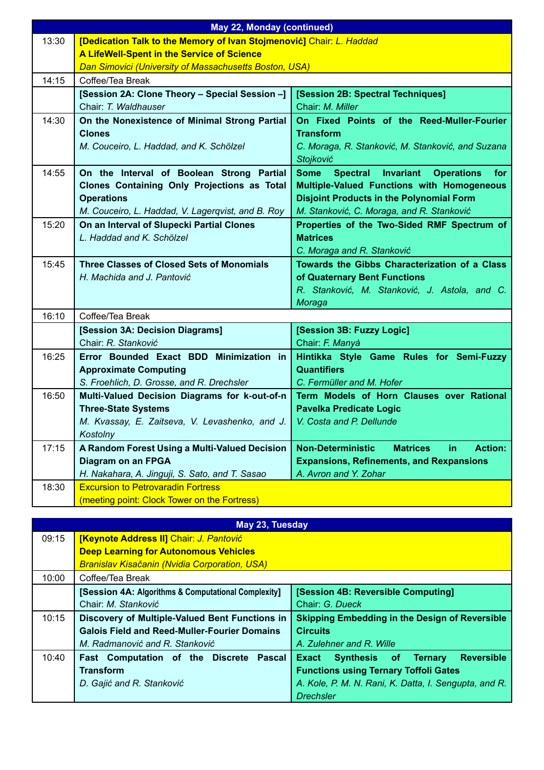|       | <b>May 22, Monday (continued)</b>                                                                                                                                  |                                                                                                                                                                                                             |  |
|-------|--------------------------------------------------------------------------------------------------------------------------------------------------------------------|-------------------------------------------------------------------------------------------------------------------------------------------------------------------------------------------------------------|--|
| 13:30 | [Dedication Talk to the Memory of Ivan Stojmenović] Chair: L. Haddad                                                                                               |                                                                                                                                                                                                             |  |
|       | A LifeWell-Spent in the Service of Science                                                                                                                         |                                                                                                                                                                                                             |  |
|       | Dan Simovici (University of Massachusetts Boston, USA)                                                                                                             |                                                                                                                                                                                                             |  |
| 14:15 | Coffee/Tea Break                                                                                                                                                   |                                                                                                                                                                                                             |  |
|       | [Session 2A: Clone Theory - Special Session -]                                                                                                                     | [Session 2B: Spectral Techniques]                                                                                                                                                                           |  |
|       | Chair: T. Waldhauser                                                                                                                                               | Chair: M. Miller                                                                                                                                                                                            |  |
| 14:30 | On the Nonexistence of Minimal Strong Partial<br><b>Clones</b>                                                                                                     | On Fixed Points of the Reed-Muller-Fourier<br><b>Transform</b>                                                                                                                                              |  |
|       | M. Couceiro, L. Haddad, and K. Schölzel                                                                                                                            | C. Moraga, R. Stanković, M. Stanković, and Suzana<br>Stojković                                                                                                                                              |  |
| 14:55 | On the Interval of Boolean Strong Partial<br>Clones Containing Only Projections as Total<br><b>Operations</b><br>M. Couceiro, L. Haddad, V. Lagerqvist, and B. Roy | Spectral Invariant<br><b>Some</b><br><b>Operations</b><br>for<br>Multiple-Valued Functions with Homogeneous<br><b>Disjoint Products in the Polynomial Form</b><br>M. Stanković, C. Moraga, and R. Stanković |  |
| 15:20 | On an Interval of Slupecki Partial Clones<br>L. Haddad and K. Schölzel                                                                                             | Properties of the Two-Sided RMF Spectrum of<br><b>Matrices</b><br>C. Moraga and R. Stanković                                                                                                                |  |
| 15:45 | <b>Three Classes of Closed Sets of Monomials</b><br>H. Machida and J. Pantović                                                                                     | Towards the Gibbs Characterization of a Class<br>of Quaternary Bent Functions<br>R. Stanković, M. Stanković, J. Astola, and C.<br>Moraga                                                                    |  |
| 16:10 | Coffee/Tea Break                                                                                                                                                   |                                                                                                                                                                                                             |  |
|       | [Session 3A: Decision Diagrams]<br>Chair: R. Stanković                                                                                                             | [Session 3B: Fuzzy Logic]<br>Chair: F. Manyà                                                                                                                                                                |  |
| 16:25 | Error Bounded Exact BDD Minimization in<br><b>Approximate Computing</b><br>S. Froehlich, D. Grosse, and R. Drechsler                                               | Hintikka Style Game Rules for Semi-Fuzzy<br><b>Quantifiers</b><br>C. Fermüller and M. Hofer                                                                                                                 |  |
| 16:50 | Multi-Valued Decision Diagrams for k-out-of-n<br><b>Three-State Systems</b><br>M. Kvassay, E. Zaitseva, V. Levashenko, and J.<br>Kostolny                          | Term Models of Horn Clauses over Rational<br><b>Pavelka Predicate Logic</b><br>V. Costa and P. Dellunde                                                                                                     |  |
| 17:15 | A Random Forest Using a Multi-Valued Decision<br>Diagram on an FPGA<br>H. Nakahara, A. Jinguji, S. Sato, and T. Sasao                                              | <b>Non-Deterministic</b><br><b>Action:</b><br><b>Matrices</b><br>in.<br><b>Expansions, Refinements, and Rexpansions</b><br>A. Avron and Y. Zohar                                                            |  |
| 18:30 | <b>Excursion to Petrovaradin Fortress</b><br>(meeting point: Clock Tower on the Fortress)                                                                          |                                                                                                                                                                                                             |  |

| May 23, Tuesday |                                                      |                                                       |
|-----------------|------------------------------------------------------|-------------------------------------------------------|
| 09:15           | [Keynote Address II] Chair: J. Pantović              |                                                       |
|                 | <b>Deep Learning for Autonomous Vehicles</b>         |                                                       |
|                 | <b>Branislav Kisačanin (Nvidia Corporation, USA)</b> |                                                       |
| 10:00           | Coffee/Tea Break                                     |                                                       |
|                 | [Session 4A: Algorithms & Computational Complexity]  | [Session 4B: Reversible Computing]                    |
|                 | Chair: M. Stanković                                  | Chair: G. Dueck                                       |
| 10:15           | Discovery of Multiple-Valued Bent Functions in       | <b>Skipping Embedding in the Design of Reversible</b> |
|                 | <b>Galois Field and Reed-Muller-Fourier Domains</b>  | <b>Circuits</b>                                       |
|                 | M. Radmanović and R. Stanković                       | A. Zulehner and R. Wille                              |
| 10:40           | Fast Computation of the Discrete Pascal              | <b>Reversible</b><br>Synthesis of Ternary<br>Exact    |
|                 | <b>Transform</b>                                     | <b>Functions using Ternary Toffoli Gates</b>          |
|                 | D. Gajić and R. Stanković                            | A. Kole, P. M. N. Rani, K. Datta, I. Sengupta, and R. |
|                 |                                                      | <b>Drechsler</b>                                      |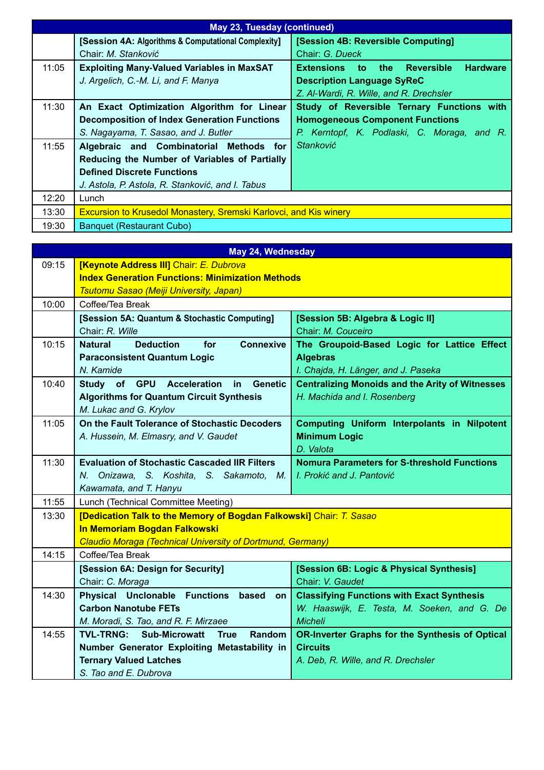|       | May 23, Tuesday (continued)                                              |                                                 |  |
|-------|--------------------------------------------------------------------------|-------------------------------------------------|--|
|       | [Session 4A: Algorithms & Computational Complexity]                      | [Session 4B: Reversible Computing]              |  |
|       | Chair: M. Stanković                                                      | Chair: G. Dueck                                 |  |
| 11:05 | <b>Exploiting Many-Valued Variables in MaxSAT</b>                        | <b>Hardware</b><br>Extensions to the Reversible |  |
|       | J. Argelich, C.-M. Li, and F. Manya                                      | <b>Description Language SyReC</b>               |  |
|       |                                                                          | Z. Al-Wardi, R. Wille, and R. Drechsler         |  |
| 11:30 | An Exact Optimization Algorithm for Linear                               | Study of Reversible Ternary Functions with      |  |
|       | <b>Decomposition of Index Generation Functions</b>                       | <b>Homogeneous Component Functions</b>          |  |
|       | S. Nagayama, T. Sasao, and J. Butler                                     | P. Kerntopf, K. Podlaski, C. Moraga, and R.     |  |
| 11:55 | Algebraic and Combinatorial Methods for                                  | <b>Stanković</b>                                |  |
|       | Reducing the Number of Variables of Partially                            |                                                 |  |
|       | <b>Defined Discrete Functions</b>                                        |                                                 |  |
|       | J. Astola, P. Astola, R. Stanković, and I. Tabus                         |                                                 |  |
| 12:20 | Lunch                                                                    |                                                 |  |
| 13:30 | <b>Excursion to Krusedol Monastery, Sremski Karlovci, and Kis winery</b> |                                                 |  |
| 19:30 | Banquet (Restaurant Cubo)                                                |                                                 |  |

|       | May 24, Wednesday                                                   |                                                        |  |
|-------|---------------------------------------------------------------------|--------------------------------------------------------|--|
| 09:15 | [Keynote Address III] Chair: E. Dubrova                             |                                                        |  |
|       | <b>Index Generation Functions: Minimization Methods</b>             |                                                        |  |
|       | <b>Tsutomu Sasao (Meiji University, Japan)</b>                      |                                                        |  |
| 10:00 | Coffee/Tea Break                                                    |                                                        |  |
|       | [Session 5A: Quantum & Stochastic Computing]                        | [Session 5B: Algebra & Logic II]                       |  |
|       | Chair: R. Wille                                                     | Chair: M. Couceiro                                     |  |
| 10:15 | <b>Deduction</b><br>for<br><b>Connexive</b><br><b>Natural</b>       | The Groupoid-Based Logic for Lattice Effect            |  |
|       | <b>Paraconsistent Quantum Logic</b>                                 | <b>Algebras</b>                                        |  |
|       | N. Kamide                                                           | I. Chajda, H. Länger, and J. Paseka                    |  |
| 10:40 | Study of GPU Acceleration in<br><b>Genetic</b>                      | <b>Centralizing Monoids and the Arity of Witnesses</b> |  |
|       | <b>Algorithms for Quantum Circuit Synthesis</b>                     | H. Machida and I. Rosenberg                            |  |
|       | M. Lukac and G. Krylov                                              |                                                        |  |
| 11:05 | On the Fault Tolerance of Stochastic Decoders                       | Computing Uniform Interpolants in Nilpotent            |  |
|       | A. Hussein, M. Elmasry, and V. Gaudet                               | <b>Minimum Logic</b>                                   |  |
|       |                                                                     | D. Valota                                              |  |
| 11:30 | <b>Evaluation of Stochastic Cascaded IIR Filters</b>                | <b>Nomura Parameters for S-threshold Functions</b>     |  |
|       | N. Onizawa, S. Koshita, S. Sakamoto, M.                             | I. Prokić and J. Pantović                              |  |
|       | Kawamata, and T. Hanyu                                              |                                                        |  |
| 11:55 | Lunch (Technical Committee Meeting)                                 |                                                        |  |
| 13:30 | [Dedication Talk to the Memory of Bogdan Falkowski] Chair: T. Sasao |                                                        |  |
|       | In Memoriam Bogdan Falkowski                                        |                                                        |  |
|       | Claudio Moraga (Technical University of Dortmund, Germany)          |                                                        |  |
| 14:15 | Coffee/Tea Break                                                    |                                                        |  |
|       | [Session 6A: Design for Security]                                   | [Session 6B: Logic & Physical Synthesis]               |  |
|       | Chair: C. Moraga                                                    | Chair: V. Gaudet                                       |  |
| 14:30 | <b>Physical Unclonable Functions</b><br>based<br>on l               | <b>Classifying Functions with Exact Synthesis</b>      |  |
|       | <b>Carbon Nanotube FETs</b>                                         | W. Haaswijk, E. Testa, M. Soeken, and G. De            |  |
|       | M. Moradi, S. Tao, and R. F. Mirzaee                                | <b>Micheli</b>                                         |  |
| 14:55 | <b>TVL-TRNG: Sub-Microwatt True</b><br><b>Random</b>                | <b>OR-Inverter Graphs for the Synthesis of Optical</b> |  |
|       | Number Generator Exploiting Metastability in                        | <b>Circuits</b>                                        |  |
|       | <b>Ternary Valued Latches</b>                                       | A. Deb, R. Wille, and R. Drechsler                     |  |
|       | S. Tao and E. Dubrova                                               |                                                        |  |